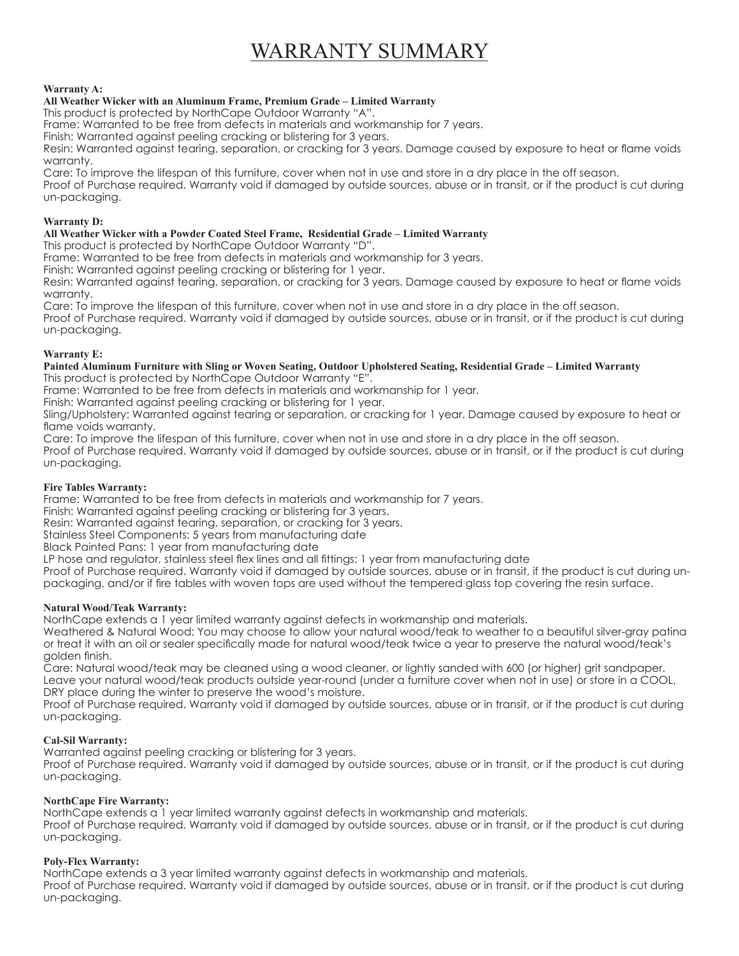# WARRANTY SUMMARY

## **Warranty A:**

# **All Weather Wicker with an Aluminum Frame, Premium Grade – Limited Warranty**

This product is protected by NorthCape Outdoor Warranty "A".

Frame: Warranted to be free from defects in materials and workmanship for 7 years.

Finish: Warranted against peeling cracking or blistering for 3 years.

Resin: Warranted against tearing, separation, or cracking for 3 years. Damage caused by exposure to heat or flame voids warranty.

Care: To improve the lifespan of this furniture, cover when not in use and store in a dry place in the off season.

Proof of Purchase required. Warranty void if damaged by outside sources, abuse or in transit, or if the product is cut during un-packaging.

## **Warranty D:**

## **All Weather Wicker with a Powder Coated Steel Frame, Residential Grade – Limited Warranty**

This product is protected by NorthCape Outdoor Warranty "D".

Frame: Warranted to be free from defects in materials and workmanship for 3 years.

Finish: Warranted against peeling cracking or blistering for 1 year.

Resin: Warranted against tearing, separation, or cracking for 3 years. Damage caused by exposure to heat or flame voids warranty.

Care: To improve the lifespan of this furniture, cover when not in use and store in a dry place in the off season. Proof of Purchase required. Warranty void if damaged by outside sources, abuse or in transit, or if the product is cut during un-packaging.

## **Warranty E:**

**Painted Aluminum Furniture with Sling or Woven Seating, Outdoor Upholstered Seating, Residential Grade – Limited Warranty** This product is protected by NorthCape Outdoor Warranty "E".

Frame: Warranted to be free from defects in materials and workmanship for 1 year.

Finish: Warranted against peeling cracking or blistering for 1 year.

Sling/Upholstery: Warranted against tearing or separation, or cracking for 1 year. Damage caused by exposure to heat or flame voids warranty.

Care: To improve the lifespan of this furniture, cover when not in use and store in a dry place in the off season.

Proof of Purchase required. Warranty void if damaged by outside sources, abuse or in transit, or if the product is cut during un-packaging.

# **Fire Tables Warranty:**

Frame: Warranted to be free from defects in materials and workmanship for 7 years.

Finish: Warranted against peeling cracking or blistering for 3 years.

Resin: Warranted against tearing, separation, or cracking for 3 years.

Stainless Steel Components: 5 years from manufacturing date

Black Painted Pans: 1 year from manufacturing date

LP hose and regulator, stainless steel flex lines and all fittings: 1 year from manufacturing date

Proof of Purchase required. Warranty void if damaged by outside sources, abuse or in transit, if the product is cut during unpackaging, and/or if fire tables with woven tops are used without the tempered glass top covering the resin surface.

# **Natural Wood/Teak Warranty:**

NorthCape extends a 1 year limited warranty against defects in workmanship and materials.

Weathered & Natural Wood: You may choose to allow your natural wood/teak to weather to a beautiful silver-gray patina or treat it with an oil or sealer specifically made for natural wood/teak twice a year to preserve the natural wood/teak's golden finish.

Care: Natural wood/teak may be cleaned using a wood cleaner, or lightly sanded with 600 (or higher) grit sandpaper. Leave your natural wood/teak products outside year-round (under a furniture cover when not in use) or store in a COOL, DRY place during the winter to preserve the wood's moisture.

Proof of Purchase required. Warranty void if damaged by outside sources, abuse or in transit, or if the product is cut during un-packaging.

# **Cal-Sil Warranty:**

Warranted against peeling cracking or blistering for 3 years.

Proof of Purchase required. Warranty void if damaged by outside sources, abuse or in transit, or if the product is cut during un-packaging.

# **NorthCape Fire Warranty:**

NorthCape extends a 1 year limited warranty against defects in workmanship and materials.

Proof of Purchase required. Warranty void if damaged by outside sources, abuse or in transit, or if the product is cut during un-packaging.

# **Poly-Flex Warranty:**

NorthCape extends a 3 year limited warranty against defects in workmanship and materials.

Proof of Purchase required. Warranty void if damaged by outside sources, abuse or in transit, or if the product is cut during un-packaging.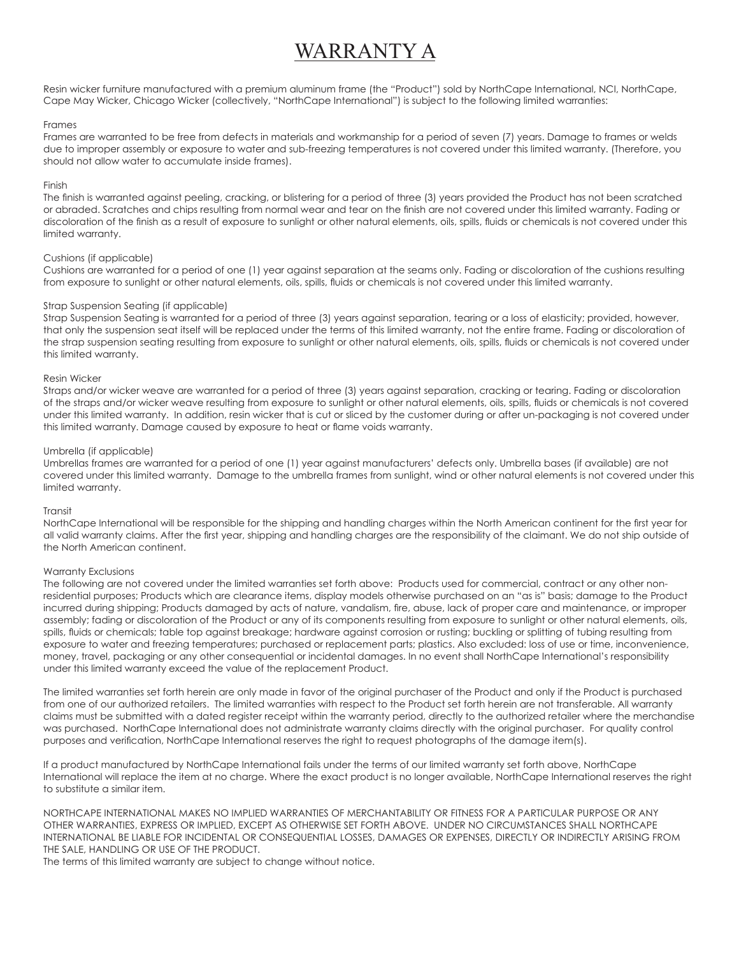# WARRANTY A

Resin wicker furniture manufactured with a premium aluminum frame (the "Product") sold by NorthCape International, NCI, NorthCape, Cape May Wicker, Chicago Wicker (collectively, "NorthCape International") is subject to the following limited warranties:

### Frames

Frames are warranted to be free from defects in materials and workmanship for a period of seven (7) years. Damage to frames or welds due to improper assembly or exposure to water and sub-freezing temperatures is not covered under this limited warranty. (Therefore, you should not allow water to accumulate inside frames).

#### Finish

The finish is warranted against peeling, cracking, or blistering for a period of three (3) years provided the Product has not been scratched or abraded. Scratches and chips resulting from normal wear and tear on the finish are not covered under this limited warranty. Fading or discoloration of the finish as a result of exposure to sunlight or other natural elements, oils, spills, fluids or chemicals is not covered under this limited warranty.

### Cushions (if applicable)

Cushions are warranted for a period of one (1) year against separation at the seams only. Fading or discoloration of the cushions resulting from exposure to sunlight or other natural elements, oils, spills, fluids or chemicals is not covered under this limited warranty.

### Strap Suspension Seating (if applicable)

Strap Suspension Seating is warranted for a period of three (3) years against separation, tearing or a loss of elasticity; provided, however, that only the suspension seat itself will be replaced under the terms of this limited warranty, not the entire frame. Fading or discoloration of the strap suspension seating resulting from exposure to sunlight or other natural elements, oils, spills, fluids or chemicals is not covered under this limited warranty.

### Resin Wicker

Straps and/or wicker weave are warranted for a period of three (3) years against separation, cracking or tearing. Fading or discoloration of the straps and/or wicker weave resulting from exposure to sunlight or other natural elements, oils, spills, fluids or chemicals is not covered under this limited warranty. In addition, resin wicker that is cut or sliced by the customer during or after un-packaging is not covered under this limited warranty. Damage caused by exposure to heat or flame voids warranty.

### Umbrella (if applicable)

Umbrellas frames are warranted for a period of one (1) year against manufacturers' defects only. Umbrella bases (if available) are not covered under this limited warranty. Damage to the umbrella frames from sunlight, wind or other natural elements is not covered under this limited warranty.

#### Transit

NorthCape International will be responsible for the shipping and handling charges within the North American continent for the first year for all valid warranty claims. After the first year, shipping and handling charges are the responsibility of the claimant. We do not ship outside of the North American continent.

## Warranty Exclusions

The following are not covered under the limited warranties set forth above: Products used for commercial, contract or any other nonresidential purposes; Products which are clearance items, display models otherwise purchased on an "as is" basis; damage to the Product incurred during shipping; Products damaged by acts of nature, vandalism, fire, abuse, lack of proper care and maintenance, or improper assembly; fading or discoloration of the Product or any of its components resulting from exposure to sunlight or other natural elements, oils, spills, fluids or chemicals; table top against breakage; hardware against corrosion or rusting; buckling or splitting of tubing resulting from exposure to water and freezing temperatures; purchased or replacement parts; plastics. Also excluded: loss of use or time, inconvenience, money, travel, packaging or any other consequential or incidental damages. In no event shall NorthCape International's responsibility under this limited warranty exceed the value of the replacement Product.

The limited warranties set forth herein are only made in favor of the original purchaser of the Product and only if the Product is purchased from one of our authorized retailers. The limited warranties with respect to the Product set forth herein are not transferable. All warranty claims must be submitted with a dated register receipt within the warranty period, directly to the authorized retailer where the merchandise was purchased. NorthCape International does not administrate warranty claims directly with the original purchaser. For quality control purposes and verification, NorthCape International reserves the right to request photographs of the damage item(s).

If a product manufactured by NorthCape International fails under the terms of our limited warranty set forth above, NorthCape International will replace the item at no charge. Where the exact product is no longer available, NorthCape International reserves the right to substitute a similar item.

NORTHCAPE INTERNATIONAL MAKES NO IMPLIED WARRANTIES OF MERCHANTABILITY OR FITNESS FOR A PARTICULAR PURPOSE OR ANY OTHER WARRANTIES, EXPRESS OR IMPLIED, EXCEPT AS OTHERWISE SET FORTH ABOVE. UNDER NO CIRCUMSTANCES SHALL NORTHCAPE INTERNATIONAL BE LIABLE FOR INCIDENTAL OR CONSEQUENTIAL LOSSES, DAMAGES OR EXPENSES, DIRECTLY OR INDIRECTLY ARISING FROM THE SALE, HANDLING OR USE OF THE PRODUCT.

The terms of this limited warranty are subject to change without notice.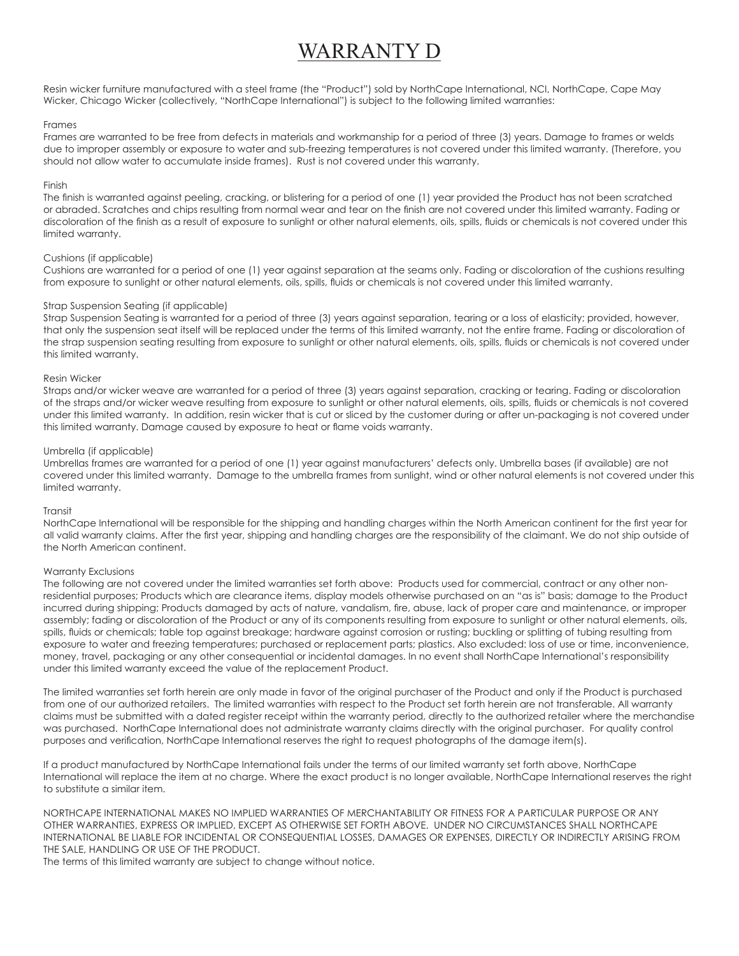# WARRANTY D

Resin wicker furniture manufactured with a steel frame (the "Product") sold by NorthCape International, NCI, NorthCape, Cape May Wicker, Chicago Wicker (collectively, "NorthCape International") is subject to the following limited warranties:

### Frames

Frames are warranted to be free from defects in materials and workmanship for a period of three (3) years. Damage to frames or welds due to improper assembly or exposure to water and sub-freezing temperatures is not covered under this limited warranty. (Therefore, you should not allow water to accumulate inside frames). Rust is not covered under this warranty.

### Finish

The finish is warranted against peeling, cracking, or blistering for a period of one (1) year provided the Product has not been scratched or abraded. Scratches and chips resulting from normal wear and tear on the finish are not covered under this limited warranty. Fading or discoloration of the finish as a result of exposure to sunlight or other natural elements, oils, spills, fluids or chemicals is not covered under this limited warranty.

### Cushions (if applicable)

Cushions are warranted for a period of one (1) year against separation at the seams only. Fading or discoloration of the cushions resulting from exposure to sunlight or other natural elements, oils, spills, fluids or chemicals is not covered under this limited warranty.

### Strap Suspension Seating (if applicable)

Strap Suspension Seating is warranted for a period of three (3) years against separation, tearing or a loss of elasticity; provided, however, that only the suspension seat itself will be replaced under the terms of this limited warranty, not the entire frame. Fading or discoloration of the strap suspension seating resulting from exposure to sunlight or other natural elements, oils, spills, fluids or chemicals is not covered under this limited warranty.

### Resin Wicker

Straps and/or wicker weave are warranted for a period of three (3) years against separation, cracking or tearing. Fading or discoloration of the straps and/or wicker weave resulting from exposure to sunlight or other natural elements, oils, spills, fluids or chemicals is not covered under this limited warranty. In addition, resin wicker that is cut or sliced by the customer during or after un-packaging is not covered under this limited warranty. Damage caused by exposure to heat or flame voids warranty.

### Umbrella (if applicable)

Umbrellas frames are warranted for a period of one (1) year against manufacturers' defects only. Umbrella bases (if available) are not covered under this limited warranty. Damage to the umbrella frames from sunlight, wind or other natural elements is not covered under this limited warranty.

#### Transit

NorthCape International will be responsible for the shipping and handling charges within the North American continent for the first year for all valid warranty claims. After the first year, shipping and handling charges are the responsibility of the claimant. We do not ship outside of the North American continent.

## Warranty Exclusions

The following are not covered under the limited warranties set forth above: Products used for commercial, contract or any other nonresidential purposes; Products which are clearance items, display models otherwise purchased on an "as is" basis; damage to the Product incurred during shipping; Products damaged by acts of nature, vandalism, fire, abuse, lack of proper care and maintenance, or improper assembly; fading or discoloration of the Product or any of its components resulting from exposure to sunlight or other natural elements, oils, spills, fluids or chemicals; table top against breakage; hardware against corrosion or rusting; buckling or splitting of tubing resulting from exposure to water and freezing temperatures; purchased or replacement parts; plastics. Also excluded: loss of use or time, inconvenience, money, travel, packaging or any other consequential or incidental damages. In no event shall NorthCape International's responsibility under this limited warranty exceed the value of the replacement Product.

The limited warranties set forth herein are only made in favor of the original purchaser of the Product and only if the Product is purchased from one of our authorized retailers. The limited warranties with respect to the Product set forth herein are not transferable. All warranty claims must be submitted with a dated register receipt within the warranty period, directly to the authorized retailer where the merchandise was purchased. NorthCape International does not administrate warranty claims directly with the original purchaser. For quality control purposes and verification, NorthCape International reserves the right to request photographs of the damage item(s).

If a product manufactured by NorthCape International fails under the terms of our limited warranty set forth above, NorthCape International will replace the item at no charge. Where the exact product is no longer available, NorthCape International reserves the right to substitute a similar item.

NORTHCAPE INTERNATIONAL MAKES NO IMPLIED WARRANTIES OF MERCHANTABILITY OR FITNESS FOR A PARTICULAR PURPOSE OR ANY OTHER WARRANTIES, EXPRESS OR IMPLIED, EXCEPT AS OTHERWISE SET FORTH ABOVE. UNDER NO CIRCUMSTANCES SHALL NORTHCAPE INTERNATIONAL BE LIABLE FOR INCIDENTAL OR CONSEQUENTIAL LOSSES, DAMAGES OR EXPENSES, DIRECTLY OR INDIRECTLY ARISING FROM THE SALE, HANDLING OR USE OF THE PRODUCT.

The terms of this limited warranty are subject to change without notice.